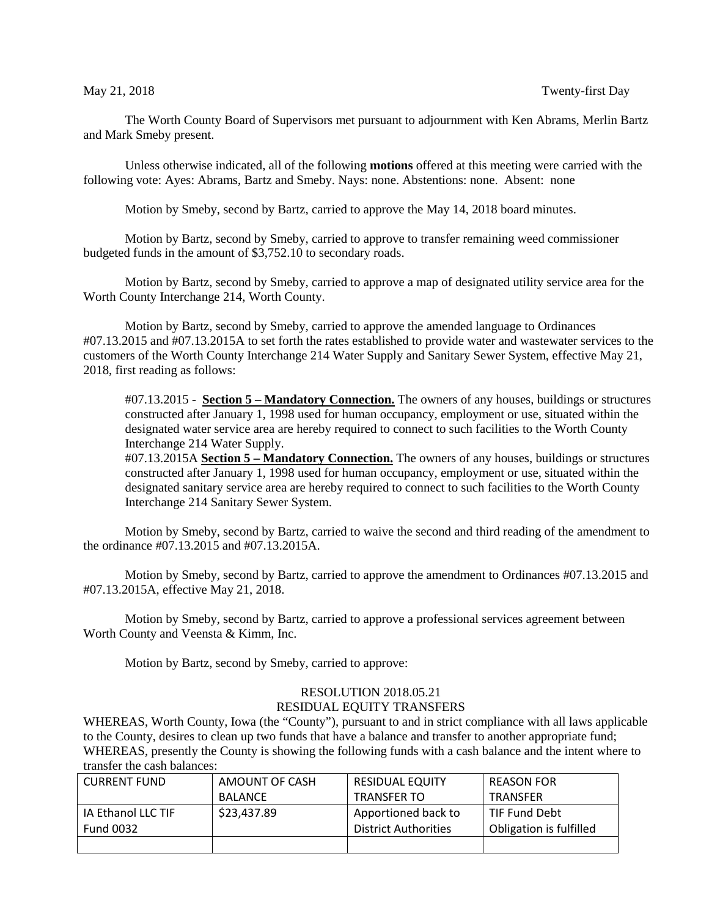The Worth County Board of Supervisors met pursuant to adjournment with Ken Abrams, Merlin Bartz and Mark Smeby present.

Unless otherwise indicated, all of the following **motions** offered at this meeting were carried with the following vote: Ayes: Abrams, Bartz and Smeby. Nays: none. Abstentions: none. Absent: none

Motion by Smeby, second by Bartz, carried to approve the May 14, 2018 board minutes.

Motion by Bartz, second by Smeby, carried to approve to transfer remaining weed commissioner budgeted funds in the amount of \$3,752.10 to secondary roads.

Motion by Bartz, second by Smeby, carried to approve a map of designated utility service area for the Worth County Interchange 214, Worth County.

Motion by Bartz, second by Smeby, carried to approve the amended language to Ordinances #07.13.2015 and #07.13.2015A to set forth the rates established to provide water and wastewater services to the customers of the Worth County Interchange 214 Water Supply and Sanitary Sewer System, effective May 21, 2018, first reading as follows:

#07.13.2015 - **Section 5 – Mandatory Connection.** The owners of any houses, buildings or structures constructed after January 1, 1998 used for human occupancy, employment or use, situated within the designated water service area are hereby required to connect to such facilities to the Worth County Interchange 214 Water Supply.

#07.13.2015A **Section 5 – Mandatory Connection.** The owners of any houses, buildings or structures constructed after January 1, 1998 used for human occupancy, employment or use, situated within the designated sanitary service area are hereby required to connect to such facilities to the Worth County Interchange 214 Sanitary Sewer System.

Motion by Smeby, second by Bartz, carried to waive the second and third reading of the amendment to the ordinance #07.13.2015 and #07.13.2015A.

Motion by Smeby, second by Bartz, carried to approve the amendment to Ordinances #07.13.2015 and #07.13.2015A, effective May 21, 2018.

Motion by Smeby, second by Bartz, carried to approve a professional services agreement between Worth County and Veensta & Kimm, Inc.

Motion by Bartz, second by Smeby, carried to approve:

## RESOLUTION 2018.05.21 RESIDUAL EQUITY TRANSFERS

WHEREAS, Worth County, Iowa (the "County"), pursuant to and in strict compliance with all laws applicable to the County, desires to clean up two funds that have a balance and transfer to another appropriate fund; WHEREAS, presently the County is showing the following funds with a cash balance and the intent where to transfer the cash balances:

| <b>CURRENT FUND</b> | AMOUNT OF CASH | <b>RESIDUAL EQUITY</b>      | <b>REASON FOR</b>       |  |
|---------------------|----------------|-----------------------------|-------------------------|--|
|                     | <b>BALANCE</b> | <b>TRANSFER TO</b>          | <b>TRANSFER</b>         |  |
| IA Ethanol LLC TIF  | \$23,437.89    | Apportioned back to         | TIF Fund Debt           |  |
| <b>Fund 0032</b>    |                | <b>District Authorities</b> | Obligation is fulfilled |  |
|                     |                |                             |                         |  |